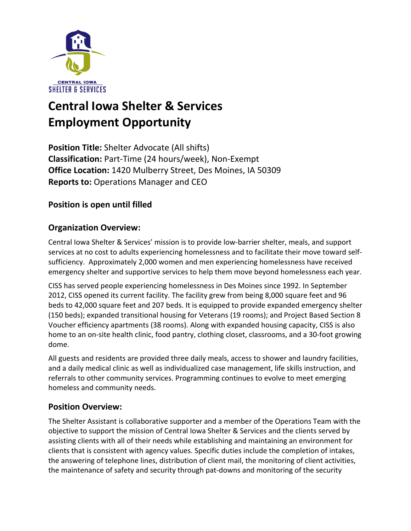

# **Central Iowa Shelter & Services Employment Opportunity**

**Position Title:** Shelter Advocate (All shifts) **Classification:** Part-Time (24 hours/week), Non-Exempt **Office Location:** 1420 Mulberry Street, Des Moines, IA 50309 **Reports to:** Operations Manager and CEO

## **Position is open until filled**

## **Organization Overview:**

Central Iowa Shelter & Services' mission is to provide low-barrier shelter, meals, and support services at no cost to adults experiencing homelessness and to facilitate their move toward selfsufficiency. Approximately 2,000 women and men experiencing homelessness have received emergency shelter and supportive services to help them move beyond homelessness each year.

CISS has served people experiencing homelessness in Des Moines since 1992. In September 2012, CISS opened its current facility. The facility grew from being 8,000 square feet and 96 beds to 42,000 square feet and 207 beds. It is equipped to provide expanded emergency shelter (150 beds); expanded transitional housing for Veterans (19 rooms); and Project Based Section 8 Voucher efficiency apartments (38 rooms). Along with expanded housing capacity, CISS is also home to an on-site health clinic, food pantry, clothing closet, classrooms, and a 30-foot growing dome.

All guests and residents are provided three daily meals, access to shower and laundry facilities, and a daily medical clinic as well as individualized case management, life skills instruction, and referrals to other community services. Programming continues to evolve to meet emerging homeless and community needs.

#### **Position Overview:**

The Shelter Assistant is collaborative supporter and a member of the Operations Team with the objective to support the mission of Central Iowa Shelter & Services and the clients served by assisting clients with all of their needs while establishing and maintaining an environment for clients that is consistent with agency values. Specific duties include the completion of intakes, the answering of telephone lines, distribution of client mail, the monitoring of client activities, the maintenance of safety and security through pat-downs and monitoring of the security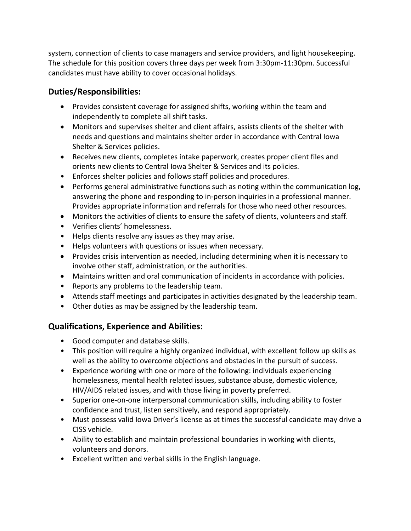system, connection of clients to case managers and service providers, and light housekeeping. The schedule for this position covers three days per week from 3:30pm-11:30pm. Successful candidates must have ability to cover occasional holidays.

## **Duties/Responsibilities:**

- Provides consistent coverage for assigned shifts, working within the team and independently to complete all shift tasks.
- Monitors and supervises shelter and client affairs, assists clients of the shelter with needs and questions and maintains shelter order in accordance with Central Iowa Shelter & Services policies.
- Receives new clients, completes intake paperwork, creates proper client files and orients new clients to Central Iowa Shelter & Services and its policies.
- Enforces shelter policies and follows staff policies and procedures.
- Performs general administrative functions such as noting within the communication log, answering the phone and responding to in-person inquiries in a professional manner. Provides appropriate information and referrals for those who need other resources.
- Monitors the activities of clients to ensure the safety of clients, volunteers and staff.
- Verifies clients' homelessness.
- Helps clients resolve any issues as they may arise.
- Helps volunteers with questions or issues when necessary.
- Provides crisis intervention as needed, including determining when it is necessary to involve other staff, administration, or the authorities.
- Maintains written and oral communication of incidents in accordance with policies.
- Reports any problems to the leadership team.
- Attends staff meetings and participates in activities designated by the leadership team.
- Other duties as may be assigned by the leadership team.

## **Qualifications, Experience and Abilities:**

- Good computer and database skills.
- This position will require a highly organized individual, with excellent follow up skills as well as the ability to overcome objections and obstacles in the pursuit of success.
- Experience working with one or more of the following: individuals experiencing homelessness, mental health related issues, substance abuse, domestic violence, HIV/AIDS related issues, and with those living in poverty preferred.
- Superior one-on-one interpersonal communication skills, including ability to foster confidence and trust, listen sensitively, and respond appropriately.
- Must possess valid Iowa Driver's license as at times the successful candidate may drive a CISS vehicle.
- Ability to establish and maintain professional boundaries in working with clients, volunteers and donors.
- Excellent written and verbal skills in the English language.